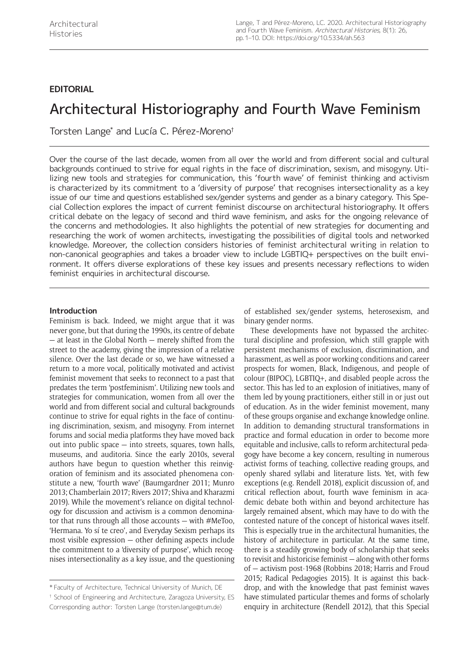# **EDITORIAL**

# Architectural Historiography and Fourth Wave Feminism

Torsten Lange\* and Lucía C. Pérez-Moreno†

Over the course of the last decade, women from all over the world and from different social and cultural backgrounds continued to strive for equal rights in the face of discrimination, sexism, and misogyny. Utilizing new tools and strategies for communication, this 'fourth wave' of feminist thinking and activism is characterized by its commitment to a 'diversity of purpose' that recognises intersectionality as a key issue of our time and questions established sex/gender systems and gender as a binary category. This Special Collection explores the impact of current feminist discourse on architectural historiography. It offers critical debate on the legacy of second and third wave feminism, and asks for the ongoing relevance of the concerns and methodologies. It also highlights the potential of new strategies for documenting and researching the work of women architects, investigating the possibilities of digital tools and networked knowledge. Moreover, the collection considers histories of feminist architectural writing in relation to non-canonical geographies and takes a broader view to include LGBTIQ+ perspectives on the built environment. It offers diverse explorations of these key issues and presents necessary reflections to widen feminist enquiries in architectural discourse.

### **Introduction**

Feminism is back. Indeed, we might argue that it was never gone, but that during the 1990s, its centre of debate — at least in the Global North — merely shifted from the street to the academy, giving the impression of a relative silence. Over the last decade or so, we have witnessed a return to a more vocal, politically motivated and activist feminist movement that seeks to reconnect to a past that predates the term 'postfeminism'. Utilizing new tools and strategies for communication, women from all over the world and from different social and cultural backgrounds continue to strive for equal rights in the face of continuing discrimination, sexism, and misogyny. From internet forums and social media platforms they have moved back out into public space  $-$  into streets, squares, town halls, museums, and auditoria. Since the early 2010s, several authors have begun to question whether this reinvigoration of feminism and its associated phenomena constitute a new, 'fourth wave' (Baumgardner 2011; Munro 2013; Chamberlain 2017; Rivers 2017; Shiva and Kharazmi 2019). While the movement's reliance on digital technology for discussion and activism is a common denominator that runs through all those accounts — with [#MeToo,](https://twitter.com/hashtag/MeToo) 'Hermana. Yo sí te creo', and Everyday Sexism perhaps its most visible expression — other defining aspects include the commitment to a 'diversity of purpose', which recognises intersectionality as a key issue, and the questioning

† School of Engineering and Architecture, Zaragoza University, ES Corresponding author: Torsten Lange [\(torsten.lange@tum.de](mailto:torsten.lange@tum.de))

of established sex/gender systems, heterosexism, and binary gender norms.

These developments have not bypassed the architectural discipline and profession, which still grapple with persistent mechanisms of exclusion, discrimination, and harassment, as well as poor working conditions and career prospects for women, Black, Indigenous, and people of colour (BIPOC), LGBTIQ+, and disabled people across the sector. This has led to an explosion of initiatives, many of them led by young practitioners, either still in or just out of education. As in the wider feminist movement, many of these groups organise and exchange knowledge online. In addition to demanding structural transformations in practice and formal education in order to become more equitable and inclusive, calls to reform architectural pedagogy have become a key concern, resulting in numerous activist forms of teaching, collective reading groups, and openly shared syllabi and literature lists. Yet, with few exceptions (e.g. Rendell 2018), explicit discussion of, and critical reflection about, fourth wave feminism in academic debate both within and beyond architecture has largely remained absent, which may have to do with the contested nature of the concept of historical waves itself. This is especially true in the architectural humanities, the history of architecture in particular. At the same time, there is a steadily growing body of scholarship that seeks to revisit and historicise feminist — along with other forms of — activism post-1968 (Robbins 2018; Harris and Froud 2015; Radical Pedagogies 2015). It is against this backdrop, and with the knowledge that past feminist waves have stimulated particular themes and forms of scholarly enquiry in architecture (Rendell 2012), that this Special

<sup>\*</sup> Faculty of Architecture, Technical University of Munich, DE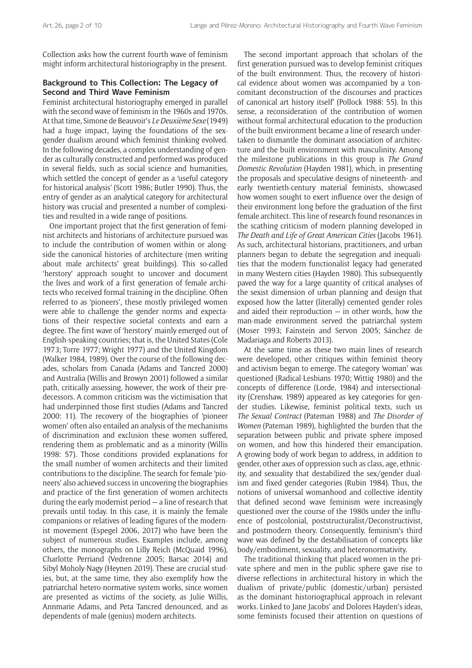Collection asks how the current fourth wave of feminism might inform architectural historiography in the present.

# **Background to This Collection: The Legacy of Second and Third Wave Feminism**

Feminist architectural historiography emerged in parallel with the second wave of feminism in the 1960s and 1970s. At that time, Simone de Beauvoir's *Le Deuxième Sexe* (1949) had a huge impact, laying the foundations of the sexgender dualism around which feminist thinking evolved. In the following decades, a complex understanding of gender as culturally constructed and performed was produced in several fields, such as social science and humanities, which settled the concept of gender as a 'useful category for historical analysis' (Scott 1986; Butler 1990). Thus, the entry of gender as an analytical category for architectural history was crucial and presented a number of complexities and resulted in a wide range of positions.

One important project that the first generation of feminist architects and historians of architecture pursued was to include the contribution of women within or alongside the canonical histories of architecture (men writing about male architects' great buildings). This so-called 'herstory' approach sought to uncover and document the lives and work of a first generation of female architects who received formal training in the discipline. Often referred to as 'pioneers', these mostly privileged women were able to challenge the gender norms and expectations of their respective societal contexts and earn a degree. The first wave of 'herstory' mainly emerged out of English-speaking countries; that is, the United States (Cole 1973; Torre 1977; Wright 1977) and the United Kingdom (Walker 1984, 1989). Over the course of the following decades, scholars from Canada (Adams and Tancred 2000) and Australia (Willis and Browyn 2001) followed a similar path, critically assessing, however, the work of their predecessors. A common criticism was the victimisation that had underpinned those first studies (Adams and Tancred 2000: 11). The recovery of the biographies of 'pioneer women' often also entailed an analysis of the mechanisms of discrimination and exclusion these women suffered, rendering them as problematic and as a minority (Willis 1998: 57). Those conditions provided explanations for the small number of women architects and their limited contributions to the discipline. The search for female 'pioneers' also achieved success in uncovering the biographies and practice of the first generation of women architects during the early modernist period — a line of research that prevails until today. In this case, it is mainly the female companions or relatives of leading figures of the modernist movement (Espegel 2006, 2017) who have been the subject of numerous studies. Examples include, among others, the monographs on Lilly Reich (McQuaid 1996), Charlotte Perriand (Vedrenne 2005; Barsac 2014) and Sibyl Moholy-Nagy (Heynen 2019). These are crucial studies, but, at the same time, they also exemplify how the patriarchal hetero-normative system works, since women are presented as victims of the society, as Julie Willis, Annmarie Adams, and Peta Tancred denounced, and as dependents of male (genius) modern architects.

The second important approach that scholars of the first generation pursued was to develop feminist critiques of the built environment. Thus, the recovery of historical evidence about women was accompanied by a 'concomitant deconstruction of the discourses and practices of canonical art history itself' (Pollock 1988: 55). In this sense, a reconsideration of the contribution of women without formal architectural education to the production of the built environment became a line of research undertaken to dismantle the dominant association of architecture and the built environment with masculinity. Among the milestone publications in this group is *The Grand Domestic Revolution* (Hayden 1981), which, in presenting the proposals and speculative designs of nineteenth- and early twentieth-century material feminists, showcased how women sought to exert influence over the design of their environment long before the graduation of the first female architect. This line of research found resonances in the scathing criticism of modern planning developed in *The Death and Life of Great American Cities* (Jacobs 1961). As such, architectural historians, practitioners, and urban planners began to debate the segregation and inequalities that the modern functionalist legacy had generated in many Western cities (Hayden 1980). This subsequently paved the way for a large quantity of critical analyses of the sexist dimension of urban planning and design that exposed how the latter (literally) cemented gender roles and aided their reproduction  $-$  in other words, how the man-made environment served the patriarchal system (Moser 1993; Fainstein and Servon 2005; Sánchez de Madariaga and Roberts 2013).

At the same time as these two main lines of research were developed, other critiques within feminist theory and activism began to emerge. The category 'woman' was questioned (Radical-Lesbians 1970; Wittig 1980) and the concepts of difference (Lorde, 1984) and intersectionality (Crenshaw, 1989) appeared as key categories for gender studies. Likewise, feminist political texts, such us *The Sexual Contract* (Pateman 1988) and *The Disorder of Women* (Pateman 1989), highlighted the burden that the separation between public and private sphere imposed on women, and how this hindered their emancipation. A growing body of work began to address, in addition to gender, other axes of oppression such as class, age, ethnicity, and sexuality that destabilized the sex/gender dualism and fixed gender categories (Rubin 1984). Thus, the notions of universal womanhood and collective identity that defined second wave feminism were increasingly questioned over the course of the 1980s under the influence of postcolonial, poststructuralist/Deconstructivist, and postmodern theory. Consequently, feminism's third wave was defined by the destabilisation of concepts like body/embodiment, sexuality, and heteronormativity.

The traditional thinking that placed women in the private sphere and men in the public sphere gave rise to diverse reflections in architectural history in which the dualism of private/public (domestic/urban) persisted as the dominant historiographical approach in relevant works. Linked to Jane Jacobs' and Dolores Hayden's ideas, some feminists focused their attention on questions of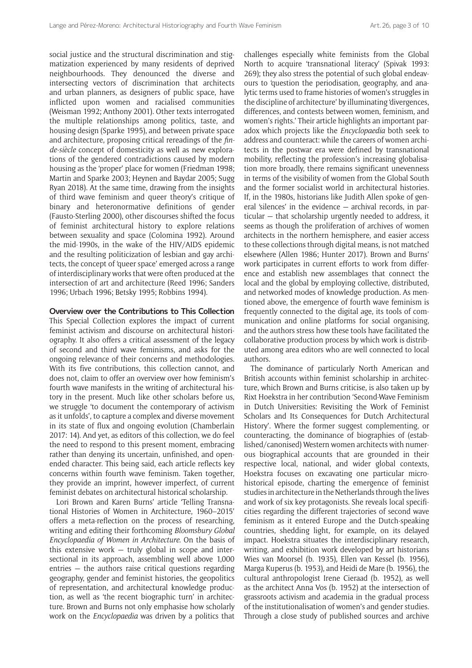social justice and the structural discrimination and stigmatization experienced by many residents of deprived neighbourhoods. They denounced the diverse and intersecting vectors of discrimination that architects and urban planners, as designers of public space, have inflicted upon women and racialised communities (Weisman 1992; Anthony 2001). Other texts interrogated the multiple relationships among politics, taste, and housing design (Sparke 1995), and between private space and architecture, proposing critical rereadings of the *finde-siècle* concept of domesticity as well as new explorations of the gendered contradictions caused by modern housing as the 'proper' place for women (Friedman 1998; Martin and Sparke 2003; Heynen and Baydar 2005; Sugg Ryan 2018). At the same time, drawing from the insights of third wave feminism and queer theory's critique of binary and heteronormative definitions of gender (Fausto-Sterling 2000), other discourses shifted the focus of feminist architectural history to explore relations between sexuality and space (Colomina 1992). Around the mid-1990s, in the wake of the HIV/AIDS epidemic and the resulting politicization of lesbian and gay architects, the concept of 'queer space' emerged across a range of interdisciplinary works that were often produced at the intersection of art and architecture (Reed 1996; Sanders 1996; Urbach 1996; Betsky 1995; Robbins 1994).

#### **Overview over the Contributions to This Collection**

This Special Collection explores the impact of current feminist activism and discourse on architectural historiography. It also offers a critical assessment of the legacy of second and third wave feminisms, and asks for the ongoing relevance of their concerns and methodologies. With its five contributions, this collection cannot, and does not, claim to offer an overview over how feminism's fourth wave manifests in the writing of architectural history in the present. Much like other scholars before us, we struggle 'to document the contemporary of activism as it unfolds', to capture a complex and diverse movement in its state of flux and ongoing evolution (Chamberlain 2017: 14). And yet, as editors of this collection, we do feel the need to respond to this present moment, embracing rather than denying its uncertain, unfinished, and openended character. This being said, each article reflects key concerns within fourth wave feminism. Taken together, they provide an imprint, however imperfect, of current feminist debates on architectural historical scholarship.

Lori Brown and Karen Burns' article 'Telling Transnational Histories of Women in Architecture, 1960–2015' offers a meta-reflection on the process of researching, writing and editing their forthcoming *Bloomsbury Global Encyclopaedia of Women in Architecture*. On the basis of this extensive work — truly global in scope and intersectional in its approach, assembling well above 1,000 entries — the authors raise critical questions regarding geography, gender and feminist histories, the geopolitics of representation, and architectural knowledge production, as well as 'the recent biographic turn' in architecture. Brown and Burns not only emphasise how scholarly work on the *Encyclopaedia* was driven by a politics that

challenges especially white feminists from the Global North to acquire 'transnational literacy' (Spivak 1993: 269); they also stress the potential of such global endeavours to 'question the periodisation, geography, and analytic terms used to frame histories of women's struggles in the discipline of architecture' by illuminating 'divergences, differences, and contests between women, feminism, and women's rights.' Their article highlights an important paradox which projects like the *Encyclopaedia* both seek to address and counteract: while the careers of women architects in the postwar era were defined by transnational mobility, reflecting the profession's increasing globalisation more broadly, there remains significant unevenness in terms of the visibility of women from the Global South and the former socialist world in architectural histories. If, in the 1980s, historians like Judith Allen spoke of general 'silences' in the evidence — archival records, in particular — that scholarship urgently needed to address, it seems as though the proliferation of archives of women architects in the northern hemisphere, and easier access to these collections through digital means, is not matched elsewhere (Allen 1986; Hunter 2017). Brown and Burns' work participates in current efforts to work from difference and establish new assemblages that connect the local and the global by employing collective, distributed, and networked modes of knowledge production. As mentioned above, the emergence of fourth wave feminism is frequently connected to the digital age, its tools of communication and online platforms for social organising, and the authors stress how these tools have facilitated the collaborative production process by which work is distributed among area editors who are well connected to local authors.

The dominance of particularly North American and British accounts within feminist scholarship in architecture, which Brown and Burns criticise, is also taken up by Rixt Hoekstra in her contribution 'Second-Wave Feminism in Dutch Universities: Revisiting the Work of Feminist Scholars and Its Consequences for Dutch Architectural History'. Where the former suggest complementing, or counteracting, the dominance of biographies of (established/canonised) Western women architects with numerous biographical accounts that are grounded in their respective local, national, and wider global contexts, Hoekstra focuses on excavating one particular microhistorical episode, charting the emergence of feminist studies in architecture in the Netherlands through the lives and work of six key protagonists. She reveals local specificities regarding the different trajectories of second wave feminism as it entered Europe and the Dutch-speaking countries, shedding light, for example, on its delayed impact. Hoekstra situates the interdisciplinary research, writing, and exhibition work developed by art historians Wies van Moorsel (b. 1935), Ellen van Kessel (b. 1956), Marga Kuperus (b. 1953), and Heidi de Mare (b. 1956), the cultural anthropologist Irene Cieraad (b. 1952), as well as the architect Anna Vos (b. 1952) at the intersection of grassroots activism and academia in the gradual process of the institutionalisation of women's and gender studies. Through a close study of published sources and archive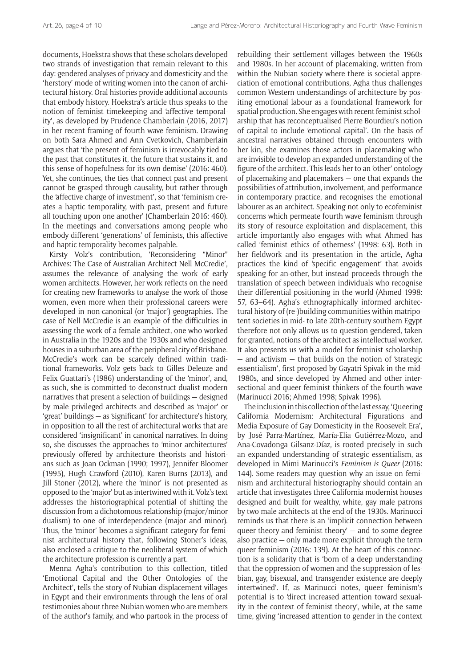documents, Hoekstra shows that these scholars developed two strands of investigation that remain relevant to this day: gendered analyses of privacy and domesticity and the 'herstory' mode of writing women into the canon of architectural history. Oral histories provide additional accounts that embody history. Hoekstra's article thus speaks to the notion of feminist timekeeping and 'affective temporality', as developed by Prudence Chamberlain (2016, 2017) in her recent framing of fourth wave feminism. Drawing on both Sara Ahmed and Ann Cvetkovich, Chamberlain argues that 'the present of feminism is irrevocably tied to the past that constitutes it, the future that sustains it, and this sense of hopefulness for its own demise' (2016: 460). Yet, she continues, the ties that connect past and present cannot be grasped through causality, but rather through the 'affective charge of investment', so that 'feminism creates a haptic temporality, with past, present and future all touching upon one another' (Chamberlain 2016: 460). In the meetings and conversations among people who embody different 'generations' of feminists, this affective and haptic temporality becomes palpable.

Kirsty Volz's contribution, 'Reconsidering "Minor" Archives: The Case of Australian Architect Nell McCredie', assumes the relevance of analysing the work of early women architects. However, her work reflects on the need for creating new frameworks to analyse the work of those women, even more when their professional careers were developed in non-canonical (or 'major') geographies. The case of Nell McCredie is an example of the difficulties in assessing the work of a female architect, one who worked in Australia in the 1920s and the 1930s and who designed houses in a suburban area of the peripheral city of Brisbane. McCredie's work can be scarcely defined within traditional frameworks. Volz gets back to Gilles Deleuze and Felix Guattari's (1986) understanding of the 'minor', and, as such, she is committed to deconstruct dualist modern narratives that present a selection of buildings — designed by male privileged architects and described as 'major' or 'great' buildings — as 'significant' for architecture's history, in opposition to all the rest of architectural works that are considered 'insignificant' in canonical narratives. In doing so, she discusses the approaches to 'minor architectures' previously offered by architecture theorists and historians such as Joan Ockman (1990; 1997), Jennifer Bloomer (1995), Hugh Crawford (2010), Karen Burns (2013), and Jill Stoner (2012), where the 'minor' is not presented as opposed to the 'major' but as intertwined with it. Volz's text addresses the historiographical potential of shifting the discussion from a dichotomous relationship (major/minor dualism) to one of interdependence (major and minor). Thus, the 'minor' becomes a significant category for feminist architectural history that, following Stoner's ideas, also enclosed a critique to the neoliberal system of which the architecture profession is currently a part.

Menna Agha's contribution to this collection, titled 'Emotional Capital and the Other Ontologies of the Architect', tells the story of Nubian displacement villages in Egypt and their environments through the lens of oral testimonies about three Nubian women who are members of the author's family, and who partook in the process of rebuilding their settlement villages between the 1960s and 1980s. In her account of placemaking, written from within the Nubian society where there is societal appreciation of emotional contributions, Agha thus challenges common Western understandings of architecture by positing emotional labour as a foundational framework for spatial production. She engages with recent feminist scholarship that has reconceptualised Pierre Bourdieu's notion of capital to include 'emotional capital'. On the basis of ancestral narratives obtained through encounters with her kin, she examines those actors in placemaking who are invisible to develop an expanded understanding of the figure of the architect. This leads her to an 'other' ontology of placemaking and placemakers — one that expands the possibilities of attribution, involvement, and performance in contemporary practice, and recognises the emotional labourer as an architect. Speaking not only to ecofeminist concerns which permeate fourth wave feminism through its story of resource exploitation and displacement, this article importantly also engages with what Ahmed has called 'feminist ethics of otherness' (1998: 63). Both in her fieldwork and its presentation in the article, Agha practices the kind of 'specific engagement' that avoids speaking for an-other, but instead proceeds through the translation of speech between individuals who recognise their differential positioning in the world (Ahmed 1998: 57, 63–64). Agha's ethnographically informed architectural history of (re-)building communities within matripotent societies in mid- to late 20th-century southern Egypt therefore not only allows us to question gendered, taken for granted, notions of the architect as intellectual worker. It also presents us with a model for feminist scholarship — and activism — that builds on the notion of 'strategic essentialism', first proposed by Gayatri Spivak in the mid-1980s, and since developed by Ahmed and other intersectional and queer feminist thinkers of the fourth wave (Marinucci 2016; Ahmed 1998; Spivak 1996).

The inclusion in this collection of the last essay, 'Queering California Modernism: Architectural Figurations and Media Exposure of Gay Domesticity in the Roosevelt Era', by José Parra-Martínez, María-Elia Gutiérrez-Mozo, and Ana-Covadonga Gilsanz-Díaz, is rooted precisely in such an expanded understanding of strategic essentialism, as developed in Mimi Marinucci's *Feminism is Queer* (2016: 144). Some readers may question why an issue on feminism and architectural historiography should contain an article that investigates three California modernist houses designed and built for wealthy, white, gay male patrons by two male architects at the end of the 1930s. Marinucci reminds us that there is an 'implicit connection between queer theory and feminist theory' — and to some degree also practice — only made more explicit through the term queer feminism (2016: 139). At the heart of this connection is a solidarity that is 'born of a deep understanding that the oppression of women and the suppression of lesbian, gay, bisexual, and transgender existence are deeply intertwined'. If, as Marinucci notes, queer feminism's potential is to 'direct increased attention toward sexuality in the context of feminist theory', while, at the same time, giving 'increased attention to gender in the context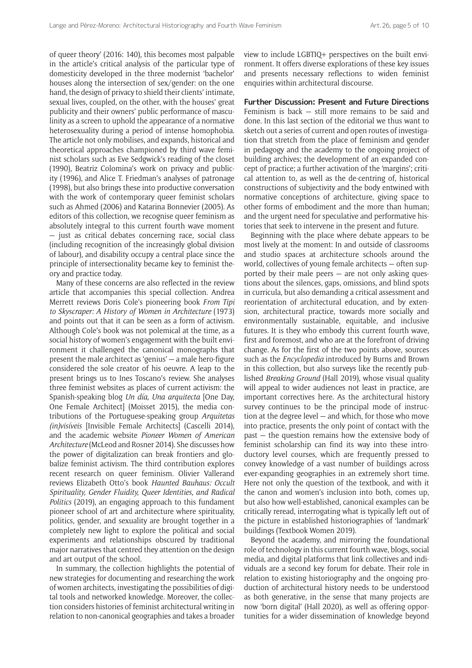of queer theory' (2016: 140), this becomes most palpable in the article's critical analysis of the particular type of domesticity developed in the three modernist 'bachelor' houses along the intersection of sex/gender: on the one hand, the design of privacy to shield their clients' intimate, sexual lives, coupled, on the other, with the houses' great publicity and their owners' public performance of masculinity as a screen to uphold the appearance of a normative heterosexuality during a period of intense homophobia. The article not only mobilises, and expands, historical and theoretical approaches championed by third wave feminist scholars such as Eve Sedgwick's reading of the closet (1990), Beatriz Colomina's work on privacy and publicity (1996), and Alice T. Friedman's analyses of patronage (1998), but also brings these into productive conversation with the work of contemporary queer feminist scholars such as Ahmed (2006) and Katarina Bonnevier (2005). As editors of this collection, we recognise queer feminism as absolutely integral to this current fourth wave moment — just as critical debates concerning race, social class (including recognition of the increasingly global division of labour), and disability occupy a central place since the principle of intersectionality became key to feminist theory and practice today.

Many of these concerns are also reflected in the review article that accompanies this special collection. Andrea Merrett reviews Doris Cole's pioneering book *From Tipi to Skyscraper: A History of Women in Architecture* (1973) and points out that it can be seen as a form of activism. Although Cole's book was not polemical at the time, as a social history of women's engagement with the built environment it challenged the canonical monographs that present the male architect as 'genius' — a male hero-figure considered the sole creator of his oeuvre. A leap to the present brings us to Ines Toscano's review. She analyses three feminist websites as places of current activism: the Spanish-speaking blog *Un día, Una arquitecta* [One Day, One Female Architect] (Moisset 2015), the media contributions of the Portuguese-speaking group *Arquitetas (in)visíveis* [Invisible Female Architects] (Cascelli 2014), and the academic website *Pioneer Women of American Architecture* (McLeod and Rosner 2014). She discusses how the power of digitalization can break frontiers and globalize feminist activism. The third contribution explores recent research on queer feminism. Olivier Vallerand reviews Elizabeth Otto's book *Haunted Bauhaus: Occult Spirituality, Gender Fluidity, Queer Identities, and Radical Politics* (2019), an engaging approach to this fundament pioneer school of art and architecture where spirituality, politics, gender, and sexuality are brought together in a completely new light to explore the political and social experiments and relationships obscured by traditional major narratives that centred they attention on the design and art output of the school.

In summary, the collection highlights the potential of new strategies for documenting and researching the work of women architects, investigating the possibilities of digital tools and networked knowledge. Moreover, the collection considers histories of feminist architectural writing in relation to non-canonical geographies and takes a broader view to include LGBTIQ+ perspectives on the built environment. It offers diverse explorations of these key issues and presents necessary reflections to widen feminist enquiries within architectural discourse.

**Further Discussion: Present and Future Directions** Feminism is back — still more remains to be said and done. In this last section of the editorial we thus want to sketch out a series of current and open routes of investigation that stretch from the place of feminism and gender in pedagogy and the academy to the ongoing project of building archives; the development of an expanded concept of practice; a further activation of the 'margins'; critical attention to, as well as the de-centring of, historical constructions of subjectivity and the body entwined with normative conceptions of architecture, giving space to other forms of embodiment and the more than human; and the urgent need for speculative and performative histories that seek to intervene in the present and future.

Beginning with the place where debate appears to be most lively at the moment: In and outside of classrooms and studio spaces at architecture schools around the world, collectives of young female architects — often supported by their male peers  $-$  are not only asking questions about the silences, gaps, omissions, and blind spots in curricula, but also demanding a critical assessment and reorientation of architectural education, and by extension, architectural practice, towards more socially and environmentally sustainable, equitable, and inclusive futures. It is they who embody this current fourth wave, first and foremost, and who are at the forefront of driving change. As for the first of the two points above, sources such as the *Encyclopedia* introduced by Burns and Brown in this collection, but also surveys like the recently published *Breaking Ground* (Hall 2019), whose visual quality will appeal to wider audiences not least in practice, are important correctives here. As the architectural history survey continues to be the principal mode of instruction at the degree level — and which, for those who move into practice, presents the only point of contact with the past — the question remains how the extensive body of feminist scholarship can find its way into these introductory level courses, which are frequently pressed to convey knowledge of a vast number of buildings across ever-expanding geographies in an extremely short time. Here not only the question of the textbook, and with it the canon and women's inclusion into both, comes up, but also how well-established, canonical examples can be critically reread, interrogating what is typically left out of the picture in established historiographies of 'landmark' buildings (Textbook Women 2019).

Beyond the academy, and mirroring the foundational role of technology in this current fourth wave, blogs, social media, and digital platforms that link collectives and individuals are a second key forum for debate. Their role in relation to existing historiography and the ongoing production of architectural history needs to be understood as both generative, in the sense that many projects are now 'born digital' (Hall 2020), as well as offering opportunities for a wider dissemination of knowledge beyond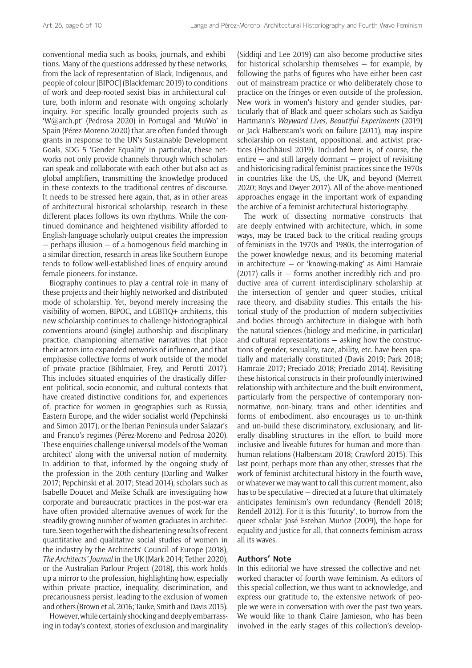conventional media such as books, journals, and exhibitions. Many of the questions addressed by these networks, from the lack of representation of Black, Indigenous, and people of colour [BIPOC] (Blackfemarc 2019) to conditions of work and deep-rooted sexist bias in architectural culture, both inform and resonate with ongoing scholarly inquiry. For specific locally grounded projects such as 'W@arch.pt' (Pedrosa 2020) in Portugal and 'MuWo' in Spain (Pérez-Moreno 2020) that are often funded through grants in response to the UN's Sustainable Development Goals, SDG 5 'Gender Equality' in particular, these networks not only provide channels through which scholars can speak and collaborate with each other but also act as global amplifiers, transmitting the knowledge produced in these contexts to the traditional centres of discourse. It needs to be stressed here again, that, as in other areas of architectural historical scholarship, research in these different places follows its own rhythms. While the continued dominance and heightened visibility afforded to English-language scholarly output creates the impression  $-$  perhaps illusion  $-$  of a homogenous field marching in a similar direction, research in areas like Southern Europe tends to follow well-established lines of enquiry around female pioneers, for instance.

Biography continues to play a central role in many of these projects and their highly networked and distributed mode of scholarship. Yet, beyond merely increasing the visibility of women, BIPOC, and LGBTIQ+ architects, this new scholarship continues to challenge historiographical conventions around (single) authorship and disciplinary practice, championing alternative narratives that place their actors into expanded networks of influence, and that emphasise collective forms of work outside of the model of private practice (Bihlmaier, Frey, and Perotti 2017). This includes situated enquiries of the drastically different political, socio-economic, and cultural contexts that have created distinctive conditions for, and experiences of, practice for women in geographies such as Russia, Eastern Europe, and the wider socialist world (Pepchinski and Simon 2017), or the Iberian Peninsula under Salazar's and Franco's regimes (Pérez-Moreno and Pedrosa 2020). These enquiries challenge universal models of the 'woman architect' along with the universal notion of modernity. In addition to that, informed by the ongoing study of the profession in the 20th century (Darling and Walker 2017; Pepchinski et al. 2017; Stead 2014), scholars such as Isabelle Doucet and Meike Schalk are investigating how corporate and bureaucratic practices in the post-war era have often provided alternative avenues of work for the steadily growing number of women graduates in architecture. Seen together with the disheartening results of recent quantitative and qualitative social studies of women in the industry by the Architects' Council of Europe (2018), *The Architects' Journal* in the UK (Mark 2014; Tether 2020), or the Australian Parlour Project (2018), this work holds up a mirror to the profession, highlighting how, especially within private practice, inequality, discrimination, and precariousness persist, leading to the exclusion of women and others (Brown et al. 2016; Tauke, Smith and Davis 2015).

However, while certainly shocking and deeply embarrassing in today's context, stories of exclusion and marginality (Siddiqi and Lee 2019) can also become productive sites for historical scholarship themselves — for example, by following the paths of figures who have either been cast out of mainstream practice or who deliberately chose to practice on the fringes or even outside of the profession. New work in women's history and gender studies, particularly that of Black and queer scholars such as Saidiya Hartmann's *Wayward Lives, Beautiful Experiments* (2019) or Jack Halberstam's work on failure (2011), may inspire scholarship on resistant, oppositional, and activist practices (Hochhäusl 2019). Included here is, of course, the entire  $-$  and still largely dormant  $-$  project of revisiting and historicising radical feminist practices since the 1970s in countries like the US, the UK, and beyond (Merrett 2020; Boys and Dwyer 2017). All of the above-mentioned approaches engage in the important work of expanding the archive of a feminist architectural historiography.

The work of dissecting normative constructs that are deeply entwined with architecture, which, in some ways, may be traced back to the critical reading groups of feminists in the 1970s and 1980s, the interrogation of the power-knowledge nexus, and its becoming material in architecture — or 'knowing-making' as Aimi Hamraie  $(2017)$  calls it  $-$  forms another incredibly rich and productive area of current interdisciplinary scholarship at the intersection of gender and queer studies, critical race theory, and disability studies. This entails the historical study of the production of modern subjectivities and bodies through architecture in dialogue with both the natural sciences (biology and medicine, in particular) and cultural representations — asking how the constructions of gender, sexuality, race, ability, etc. have been spatially and materially constituted (Davis 2019; Park 2018; Hamraie 2017; Preciado 2018; Preciado 2014). Revisiting these historical constructs in their profoundly intertwined relationship with architecture and the built environment, particularly from the perspective of contemporary nonnormative, non-binary, trans and other identities and forms of embodiment, also encourages us to un-think and un-build these discriminatory, exclusionary, and literally disabling structures in the effort to build more inclusive and liveable futures for human and more-thanhuman relations (Halberstam 2018; Crawford 2015). This last point, perhaps more than any other, stresses that the work of feminist architectural history in the fourth wave, or whatever we may want to call this current moment, also has to be speculative — directed at a future that ultimately anticipates feminism's own redundancy (Rendell 2018; Rendell 2012). For it is this 'futurity', to borrow from the queer scholar José Esteban Muñoz (2009), the hope for equality and justice for all, that connects feminism across all its waves.

## **Authors' Note**

In this editorial we have stressed the collective and networked character of fourth wave feminism. As editors of this special collection, we thus want to acknowledge, and express our gratitude to, the extensive network of people we were in conversation with over the past two years. We would like to thank Claire Jamieson, who has been involved in the early stages of this collection's develop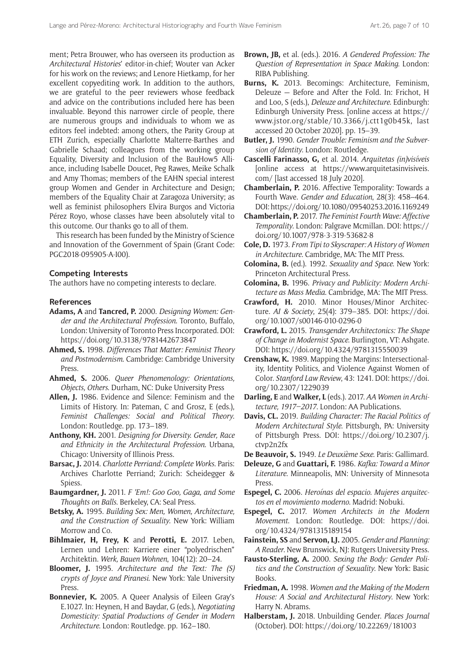ment; Petra Brouwer, who has overseen its production as *Architectural Histories*' editor-in-chief; Wouter van Acker for his work on the reviews; and Lenore Hietkamp, for her excellent copyediting work. In addition to the authors, we are grateful to the peer reviewers whose feedback and advice on the contributions included here has been invaluable. Beyond this narrower circle of people, there are numerous groups and individuals to whom we as editors feel indebted: among others, the Parity Group at ETH Zurich, especially Charlotte Malterre-Barthes and Gabrielle Schaad; colleagues from the working group Equality, Diversity and Inclusion of the BauHow5 Alliance, including Isabelle Doucet, Peg Rawes, Meike Schalk and Amy Thomas; members of the EAHN special interest group Women and Gender in Architecture and Design; members of the Equality Chair at Zaragoza University; as well as feminist philosophers Elvira Burgos and Victoria Pérez Royo, whose classes have been absolutely vital to this outcome. Our thanks go to all of them.

This research has been funded by the Ministry of Science and Innovation of the Government of Spain (Grant Code: PGC2018-095905-A-I00).

#### **Competing Interests**

The authors have no competing interests to declare.

#### **References**

- **Adams, A** and **Tancred, P.** 2000. *Designing Women: Gender and the Architectural Profession*. Toronto, Buffalo, London: University of Toronto Press Incorporated. DOI: <https://doi.org/10.3138/9781442673847>
- **Ahmed, S.** 1998. *Differences That Matter: Feminist Theory and Postmodernism*. Cambridge: Cambridge University Press.
- **Ahmed, S.** 2006. *Queer Phenomenology: Orientations, Objects, Others*. Durham, NC: Duke University Press
- **Allen, J.** 1986. Evidence and Silence: Feminism and the Limits of History. In: Pateman, C and Grosz, E (eds.), *Feminist Challenges: Social and Political Theory*. London: Routledge. pp. 173–189.
- **Anthony, KH.** 2001. *Designing for Diversity. Gender, Race and Ethnicity in the Architectural Profession*. Urbana, Chicago: University of Illinois Press.
- **Barsac, J.** 2014. *Charlotte Perriand: Complete Works*. Paris: Archives Charlotte Perriand; Zurich: Scheidegger & Spiess.
- **Baumgardner, J.** 2011. *F 'Em!: Goo Goo, Gaga, and Some Thoughts on Balls*. Berkeley, CA: Seal Press.
- **Betsky, A.** 1995. *Building Sex: Men, Women, Architecture, and the Construction of Sexuality*. New York: William Morrow and Co.
- **Bihlmaier, H, Frey, K** and **Perotti, E.** 2017. Leben, Lernen und Lehren: Karriere einer "polyedrischen" Architektin. *Werk, Bauen Wohnen*, 104(12): 20–24.
- **Bloomer, J.** 1995. *Architecture and the Text: The (S) crypts of Joyce and Piranesi*. New York: Yale University Press.
- **Bonnevier, K.** 2005. A Queer Analysis of Eileen Gray's E.1027. In: Heynen, H and Baydar, G (eds.), *Negotiating Domesticity: Spatial Productions of Gender in Modern Architecture*. London: Routledge. pp. 162–180.
- **Brown, JB,** et al. (eds.). 2016. *A Gendered Profession: The Question of Representation in Space Making*. London: RIBA Publishing.
- **Burns, K.** 2013. Becomings: Architecture, Feminism, Deleuze — Before and After the Fold. In: Frichot, H and Loo, S (eds.), *Deleuze and Architecture*. Edinburgh: Edinburgh University Press. [online access at [https://](https://www.jstor.org/stable/10.3366/j.ctt1g0b45k) [www.jstor.org/stable/10.3366/j.ctt1g0b45k](https://www.jstor.org/stable/10.3366/j.ctt1g0b45k), last accessed 20 October 2020]. pp. 15–39.
- **Butler, J.** 1990. *Gender Trouble: Feminism and the Subversion of Identity*. London: Routledge.
- **Cascelli Farinasso, G,** et al. 2014. *Arquitetas (in)visíveis* [online access at [https://www.arquitetasinvisiveis.](https://www.arquitetasinvisiveis.com/) [com/](https://www.arquitetasinvisiveis.com/) [last accessed 18 July 2020].
- **Chamberlain, P.** 2016. Affective Temporality: Towards a Fourth Wave. *Gender and Education*, 28(3): 458–464. DOI:<https://doi.org/10.1080/09540253.2016.1169249>
- **Chamberlain, P.** 2017. *The Feminist Fourth Wave: Affective Temporality*. London: Palgrave Mcmillan. DOI: [https://](https://doi.org/10.1007/978-3-319-53682-8) [doi.org/10.1007/978-3-319-53682-8](https://doi.org/10.1007/978-3-319-53682-8)
- **Cole, D.** 1973. *From Tipi to Skyscraper: A History of Women in Architecture*. Cambridge, MA: The MIT Press.
- **Colomina, B.** (ed.). 1992. *Sexuality and Space*. New York: Princeton Architectural Press.
- **Colomina, B.** 1996. *Privacy and Publicity: Modern Architecture as Mass Media*. Cambridge, MA: The MIT Press.
- **Crawford, H.** 2010. Minor Houses/Minor Architecture. *AI & Society*, 25(4): 379–385. DOI: [https://doi.](https://doi.org/10.1007/s00146-010-0296-0) [org/10.1007/s00146-010-0296-0](https://doi.org/10.1007/s00146-010-0296-0)
- **Crawford, L.** 2015. *Transgender Architectonics: The Shape of Change in Modernist Space*. Burlington, VT: Ashgate. DOI: <https://doi.org/10.4324/9781315550039>
- **Crenshaw, K.** 1989. Mapping the Margins: Intersectionality, Identity Politics, and Violence Against Women of Color. *Stanford Law Review*, 43: 1241. DOI: [https://doi.](https://doi.org/10.2307/1229039) [org/10.2307/1229039](https://doi.org/10.2307/1229039)
- **Darling, E** and **Walker, L** (eds.). 2017. *AA Women in Architecture, 1917–2017*. London: AA Publications.
- **Davis, CL.** 2019. *Building Character: The Racial Politics of Modern Architectural Style*. Pittsburgh, PA: University of Pittsburgh Press. DOI: [https://doi.org/10.2307/j.](https://doi.org/10.2307/j.ctvp2n2fx) [ctvp2n2fx](https://doi.org/10.2307/j.ctvp2n2fx)
- **De Beauvoir, S.** 1949. *Le Deuxième Sexe*. Paris: Gallimard.
- **Deleuze, G** and **Guattari, F.** 1986. *Kafka: Toward a Minor Literature*. Minneapolis, MN: University of Minnesota Press.
- **Espegel, C.** 2006. *Heroínas del espacio. Mujeres arquitectos en el movimiento moderno*. Madrid: Nobuki.
- **Espegel, C.** 2017. *Women Architects in the Modern Movement*. London: Routledge. DOI: [https://doi.](https://doi.org/10.4324/9781315189154) [org/10.4324/9781315189154](https://doi.org/10.4324/9781315189154)
- **Fainstein, SS** and **Servon, LJ.** 2005. *Gender and Planning: A Reader*. New Brunswick, NJ: Rutgers University Press.
- **Fausto-Sterling, A.** 2000. *Sexing the Body: Gender Politics and the Construction of Sexuality*. New York: Basic Books.
- **Friedman, A.** 1998. *Women and the Making of the Modern House: A Social and Architectural History*. New York: Harry N. Abrams.
- **Halberstam, J.** 2018. Unbuilding Gender. *Places Journal* (October). DOI:<https://doi.org/10.22269/181003>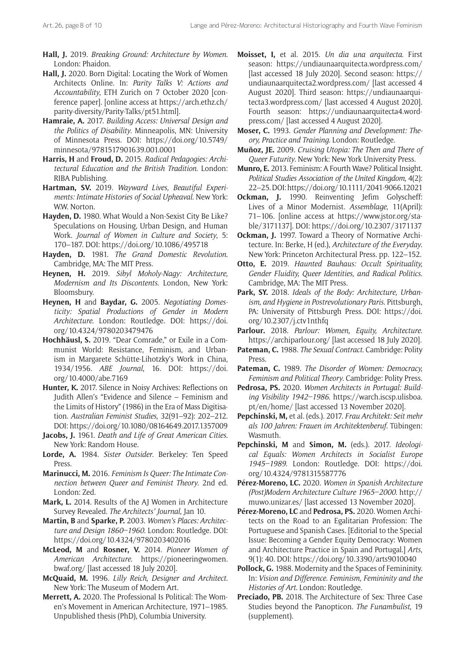- **Hall, J.** 2019. *Breaking Ground: Architecture by Women*. London: Phaidon.
- **Hall, J.** 2020. Born Digital: Locating the Work of Women Architects Online. In: *Parity Talks V: Actions and Accountability*, ETH Zurich on 7 October 2020 [conference paper]. [online access at [https://arch.ethz.ch/](https://arch.ethz.ch/parity-diversity/Parity-Talks/pt51.html) [parity-diversity/Parity-Talks/pt51.html\]](https://arch.ethz.ch/parity-diversity/Parity-Talks/pt51.html).
- **Hamraie, A.** 2017. *Building Access: Universal Design and the Politics of Disability*. Minneapolis, MN: University of Minnesota Press. DOI: [https://doi.org/10.5749/](https://doi.org/10.5749/minnesota/9781517901639.001.0001) [minnesota/9781517901639.001.0001](https://doi.org/10.5749/minnesota/9781517901639.001.0001)
- **Harris, H** and **Froud, D.** 2015. *Radical Pedagogies: Architectural Education and the British Tradition*. London: RIBA Publishing.
- **Hartman, SV.** 2019. *Wayward Lives, Beautiful Experiments: Intimate Histories of Social Upheaval*. New York: WW. Norton.
- **Hayden, D.** 1980. What Would a Non-Sexist City Be Like? Speculations on Housing, Urban Design, and Human Work. *Journal of Women in Culture and Society*, 5: 170–187. DOI:<https://doi.org/10.1086/495718>
- **Hayden, D.** 1981. *The Grand Domestic Revolution*. Cambridge, MA: The MIT Press.
- **Heynen, H.** 2019. *Sibyl Moholy-Nagy: Architecture, Modernism and Its Discontents*. London, New York: Bloomsbury.
- **Heynen, H** and **Baydar, G.** 2005. *Negotiating Domesticity: Spatial Productions of Gender in Modern Architecture*. London: Routledge. DOI: [https://doi.](https://doi.org/10.4324/9780203479476) [org/10.4324/9780203479476](https://doi.org/10.4324/9780203479476)
- **Hochhäusl, S.** 2019. "Dear Comrade," or Exile in a Communist World: Resistance, Feminism, and Urbanism in Margarete Schütte-Lihotzky's Work in China, 1934/1956. *ABE Journal*, 16. DOI: [https://doi.](https://doi.org/10.4000/abe.7169) [org/10.4000/abe.7169](https://doi.org/10.4000/abe.7169)
- **Hunter, K.** 2017. Silence in Noisy Archives: Reflections on Judith Allen's "Evidence and Silence – Feminism and the Limits of History" (1986) in the Era of Mass Digitisation. *Australian Feminist Studies*, 32(91–92): 202–212. DOI:<https://doi.org/10.1080/08164649.2017.1357009>
- **Jacobs, J.** 1961. *Death and Life of Great American Cities*. New York: Random House.
- **Lorde, A.** 1984. *Sister Outsider*. Berkeley: Ten Speed Press.
- **Marinucci, M.** 2016. *Feminism Is Queer: The Intimate Connection between Queer and Feminist Theory*. 2nd ed. London: Zed.
- **Mark, L.** 2014. Results of the AJ Women in Architecture Survey Revealed. *The Architects' Journal*, Jan 10.
- **Martin, B** and **Sparke, P.** 2003. *Women's Places: Architecture and Design 1860–1960*. London: Routledge. DOI: <https://doi.org/10.4324/9780203402016>
- **McLeod, M** and **Rosner, V.** 2014. *Pioneer Women of American Architecture*. [https://pioneeringwomen.](https://pioneeringwomen.bwaf.org/) [bwaf.org/](https://pioneeringwomen.bwaf.org/) [last accessed 18 July 2020].
- **McQuaid, M.** 1996. *Lilly Reich, Designer and Architect*. New York: The Museum of Modern Art.
- **Merrett, A.** 2020. The Professional Is Political: The Women's Movement in American Architecture, 1971–1985. Unpublished thesis (PhD), Columbia University.
- **Moisset, I,** et al. 2015. *Un dia una arquitecta*. First season: <https://undiaunaarquitecta.wordpress.com/> [last accessed 18 July 2020]. Second season: [https://](https://undiaunaarquitecta2.wordpress.com/) [undiaunaarquitecta2.wordpress.com/](https://undiaunaarquitecta2.wordpress.com/) [last accessed 4 August 2020]. Third season: [https://undiaunaarqui](https://undiaunaarquitecta3.wordpress.com/)[tecta3.wordpress.com/](https://undiaunaarquitecta3.wordpress.com/) [last accessed 4 August 2020]. Fourth season: [https://undiaunaarquitecta4.word](https://undiaunaarquitecta4.wordpress.com/)[press.com/](https://undiaunaarquitecta4.wordpress.com/) [last accessed 4 August 2020].
- **Moser, C.** 1993. *Gender Planning and Development: Theory, Practice and Training*. London: Routledge.
- **Muñoz, JE.** 2009. *Cruising Utopia: The Then and There of Queer Futurity*. New York: New York University Press.
- **Munro, E.** 2013. Feminism: A Fourth Wave? Political Insight. *Political Studies Association of the United Kingdom*, 4(2): 22–25. DOI:<https://doi.org/10.1111/2041-9066.12021>
- **Ockman, J.** 1990. Reinventing Jefim Golyscheff: Lives of a Minor Modernist. *Assemblage*, 11(April): 71–106. [online access at [https://www.jstor.org/sta](https://www.jstor.org/stable/3171137)[ble/3171137\]](https://www.jstor.org/stable/3171137). DOI:<https://doi.org/10.2307/3171137>
- **Ockman, J.** 1997. Toward a Theory of Normative Architecture. In: Berke, H (ed.), *Architecture of the Everyday*. New York: Princeton Architectural Press. pp. 122–152.
- **Otto, E.** 2019. *Haunted Bauhaus: Occult Spirituality, Gender Fluidity, Queer Identities, and Radical Politics*. Cambridge, MA: The MIT Press.
- **Park, SY.** 2018. *Ideals of the Body: Architecture, Urbanism, and Hygiene in Postrevolutionary Paris*. Pittsburgh, PA: University of Pittsburgh Press. DOI: [https://doi.](https://doi.org/10.2307/j.ctv1nthfq) [org/10.2307/j.ctv1nthfq](https://doi.org/10.2307/j.ctv1nthfq)
- **Parlour.** 2018. *Parlour: Women, Equity, Architecture*. <https://archiparlour.org/>[last accessed 18 July 2020].
- **Pateman, C.** 1988. *The Sexual Contract*. Cambridge: Polity **Press**
- **Pateman, C.** 1989. *The Disorder of Women: Democracy, Feminism and Political Theory*. Cambridge: Polity Press.
- **Pedrosa, PS.** 2020. *Women Architects in Portugal: Building Visibility 1942–1986*. [https://warch.iscsp.ulisboa.](https://warch.iscsp.ulisboa.pt/en/home/) [pt/en/home/](https://warch.iscsp.ulisboa.pt/en/home/) [last accessed 13 November 2020].
- **Pepchinski, M,** et al. (eds.). 2017. *Frau Architekt: Seit mehr als 100 Jahren: Frauen im Architektenberuf*. Tübingen: Wasmuth.
- **Pepchinski, M** and **Simon, M.** (eds.). 2017. *Ideological Equals: Women Architects in Socialist Europe 1945–1989*. London: Routledge. DOI: [https://doi.](https://doi.org/10.4324/9781315587776) [org/10.4324/9781315587776](https://doi.org/10.4324/9781315587776)
- **Pérez-Moreno, LC.** 2020. *Women in Spanish Architecture (Post)Modern Architecture Culture 1965–2000*. [http://](http://muwo.unizar.es/) [muwo.unizar.es/](http://muwo.unizar.es/) [last accessed 13 November 2020].
- **Pérez-Moreno, LC** and **Pedrosa, PS.** 2020. Women Architects on the Road to an Egalitarian Profession: The Portuguese and Spanish Cases. [Editorial to the Special Issue: Becoming a Gender Equity Democracy: Women and Architecture Practice in Spain and Portugal.] *Arts*, 9(1): 40. DOI:<https://doi.org/10.3390/arts9010040>
- **Pollock, G.** 1988. Modernity and the Spaces of Femininity. In: *Vision and Difference. Feminism, Femininity and the Histories of Art*. London: Routledge.
- **Preciado, PB.** 2018. The Architecture of Sex: Three Case Studies beyond the Panopticon. *The Funambulist*, 19 (supplement).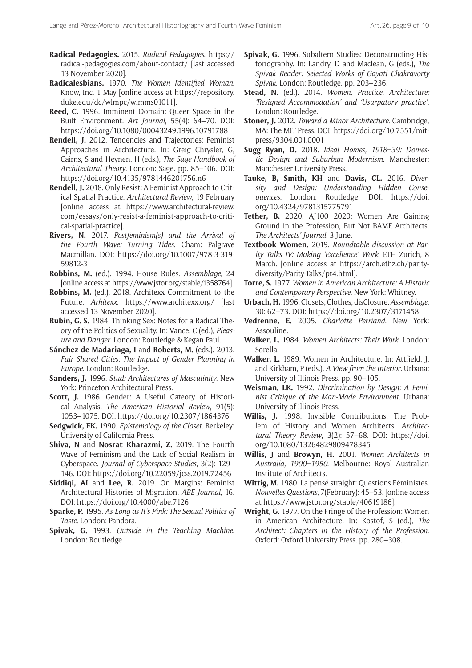- **Radical Pedagogies.** 2015. *Radical Pedagogies*. [https://](https://radical-pedagogies.com/about-contact/) [radical-pedagogies.com/about-contact/](https://radical-pedagogies.com/about-contact/) [last accessed 13 November 2020].
- **Radicalesbians.** 1970. *The Women Identified Woman*. Know, Inc. 1 May [online access at [https://repository.](https://repository.duke.edu/dc/wlmpc/wlmms01011) [duke.edu/dc/wlmpc/wlmms01011\]](https://repository.duke.edu/dc/wlmpc/wlmms01011).
- **Reed, C.** 1996. Imminent Domain: Queer Space in the Built Environment. *Art Journal*, 55(4): 64–70. DOI: <https://doi.org/10.1080/00043249.1996.10791788>
- **Rendell, J.** 2012. Tendencies and Trajectories: Feminist Approaches in Architecture. In: Greig Chrysler, G, Cairns, S and Heynen, H (eds.), *The Sage Handbook of Architectural Theory*. London: Sage. pp. 85–106. DOI: <https://doi.org/10.4135/9781446201756.n6>
- **Rendell, J.** 2018. Only Resist: A Feminist Approach to Critical Spatial Practice. *Architectural Review*, 19 February [online access at [https://www.architectural-review.](https://www.architectural-review.com/essays/only-resist-a-feminist-approach-to-critical-spatial-practice) [com/essays/only-resist-a-feminist-approach-to-criti](https://www.architectural-review.com/essays/only-resist-a-feminist-approach-to-critical-spatial-practice)[cal-spatial-practice\]](https://www.architectural-review.com/essays/only-resist-a-feminist-approach-to-critical-spatial-practice).
- **Rivers, N.** 2017. *Postfeminism(s) and the Arrival of the Fourth Wave: Turning Tides*. Cham: Palgrave Macmillan. DOI: [https://doi.org/10.1007/978-3-319-](https://doi.org/10.1007/978-3-319-59812-3) [59812-3](https://doi.org/10.1007/978-3-319-59812-3)
- **Robbins, M.** (ed.). 1994. House Rules. *Assemblage*, 24 [online access at <https://www.jstor.org/stable/i358764>].
- **Robbins, M.** (ed.). 2018. Architexx Commitment to the Future. *Arhitexx*. <https://www.architexx.org/> [last accessed 13 November 2020].
- **Rubin, G. S.** 1984. Thinking Sex: Notes for a Radical Theory of the Politics of Sexuality. In: Vance, C (ed.), *Pleasure and Danger*. London: Routledge & Kegan Paul.
- **Sánchez de Madariaga, I** and **Roberts, M.** (eds.). 2013. *Fair Shared Cities: The Impact of Gender Planning in Europe*. London: Routledge.
- **Sanders, J.** 1996. *Stud: Architectures of Masculinity*. New York: Princeton Architectural Press.
- **Scott, J.** 1986. Gender: A Useful Cateory of Historical Analysis. *The American Historial Review*, 91(5): 1053–1075. DOI: <https://doi.org/10.2307/1864376>
- **Sedgwick, EK.** 1990. *Epistemology of the Closet*. Berkeley: University of California Press.
- **Shiva, N** and **Nosrat Kharazmi, Z.** 2019. The Fourth Wave of Feminism and the Lack of Social Realism in Cyberspace. *Journal of Cyberspace Studies*, 3(2): 129– 146. DOI:<https://doi.org/10.22059/jcss.2019.72456>
- **Siddiqi, AI** and **Lee, R.** 2019. On Margins: Feminist Architectural Histories of Migration. *ABE Journal,* 16. DOI:<https://doi.org/10.4000/abe.7126>
- **Sparke, P.** 1995. *As Long as It's Pink: The Sexual Politics of Taste*. London: Pandora.
- **Spivak, G.** 1993. *Outside in the Teaching Machine*. London: Routledge.
- **Spivak, G.** 1996. Subaltern Studies: Deconstructing Historiography. In: Landry, D and Maclean, G (eds.), *The Spivak Reader: Selected Works of Gayati Chakravorty Spivak*. London: Routledge. pp. 203–236.
- **Stead, N.** (ed.). 2014. *Women, Practice, Architecture: 'Resigned Accommodation' and 'Usurpatory practice'*. London: Routledge.
- **Stoner, J.** 2012. *Toward a Minor Architecture*. Cambridge, MA: The MIT Press. DOI: [https://doi.org/10.7551/mit](https://doi.org/10.7551/mitpress/9304.001.0001)[press/9304.001.0001](https://doi.org/10.7551/mitpress/9304.001.0001)
- **Sugg Ryan, D.** 2018. *Ideal Homes, 1918–39: Domestic Design and Suburban Modernism*. Manchester: Manchester University Press.
- **Tauke, B, Smith, KH** and **Davis, CL.** 2016. *Diversity and Design: Understanding Hidden Consequences*. London: Routledge. DOI: [https://doi.](https://doi.org/10.4324/9781315775791) [org/10.4324/9781315775791](https://doi.org/10.4324/9781315775791)
- **Tether, B.** 2020. AJ100 2020: Women Are Gaining Ground in the Profession, But Not BAME Architects. *The Architects' Journal*, 3 June.
- **Textbook Women.** 2019. *Roundtable discussion at Parity Talks IV: Making 'Excellence' Work*, ETH Zurich, 8 March. [online access at [https://arch.ethz.ch/parity](https://arch.ethz.ch/parity-diversity/Parity-Talks/pt4.html)[diversity/Parity-Talks/pt4.html](https://arch.ethz.ch/parity-diversity/Parity-Talks/pt4.html)].
- **Torre, S.** 1977. *Women in American Architecture: A Historic and Contemporary Perspective*. New York: Whitney.
- **Urbach, H.** 1996. Closets, Clothes, disClosure. *Assemblage*, 30: 62–73. DOI: <https://doi.org/10.2307/3171458>
- **Vedrenne, E.** 2005. *Charlotte Perriand*. New York: Assouline.
- **Walker, L.** 1984. *Women Architects: Their Work*. London: Sorella.
- **Walker, L.** 1989. Women in Architecture. In: Attfield, J, and Kirkham, P (eds.), *A View from the Interior*. Urbana: University of Illinois Press. pp. 90–105.
- **Weisman, LK.** 1992. *Discrimination by Design: A Feminist Critique of the Man-Made Environment*. Urbana: University of Illinois Press.
- **Willis, J.** 1998. Invisible Contributions: The Problem of History and Women Architects. Architec*tural Theory Review*, 3(2): 57–68. DOI: [https://doi.](https://doi.org/10.1080/13264829809478345) [org/10.1080/13264829809478345](https://doi.org/10.1080/13264829809478345)
- **Willis, J** and **Browyn, H.** 2001. *Women Architects in Australia, 1900–1950*. Melbourne: Royal Australian Institute of Architects.
- **Wittig, M.** 1980. La pensé straight: Questions Féministes. *Nouvelles Questions*, 7(February): 45–53. [online access at<https://www.jstor.org/stable/40619186>].
- **Wright, G.** 1977. On the Fringe of the Profession: Women in American Architecture. In: Kostof, S (ed.), *The Architect: Chapters in the History of the Profession*. Oxford: Oxford University Press. pp. 280–308.